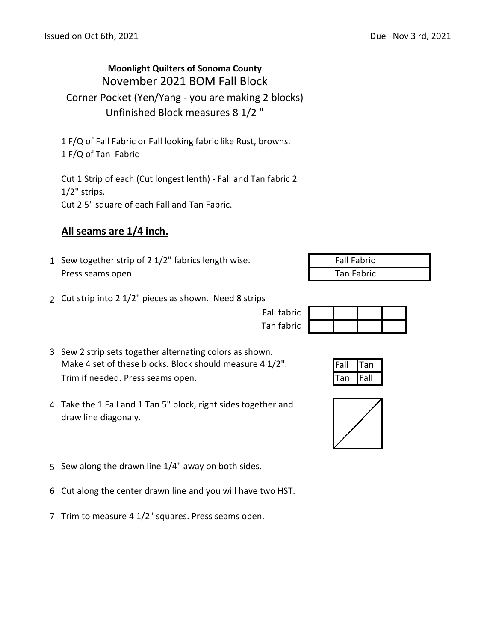## **Moonlight Quilters of Sonoma County** November 2021 BOM Fall Block Corner Pocket (Yen/Yang - you are making 2 blocks) Unfinished Block measures 8 1/2 "

1 F/Q of Fall Fabric or Fall looking fabric like Rust, browns. 1 F/Q of Tan Fabric

Cut 1 Strip of each (Cut longest lenth) - Fall and Tan fabric 2 1/2" strips. Cut 2 5" square of each Fall and Tan Fabric.

## **All seams are 1/4 inch.**

- 1 Sew together strip of 2  $1/2$ " fabrics length wise. Press seams open. The seams open.
	-
- 2 Cut strip into 2 1/2" pieces as shown. Need 8 strips
- 3 Sew 2 strip sets together alternating colors as shown. Make 4 set of these blocks. Block should measure 4  $1/2$ ". Fall Tan Trim if needed. Press seams open. The seam of the seams of the seam of the seam of the seam of the seam of the seam of the seam of the seam of the seam of the seam of the seam of the seam of the seam of the seam of the sea
- 4 Take the 1 Fall and 1 Tan 5" block, right sides together and draw line diagonaly.
- 5 Sew along the drawn line 1/4" away on both sides.
- 6 Cut along the center drawn line and you will have two HST.
- 7 Trim to measure 4 1/2" squares. Press seams open.

| <b>Fall Fabric</b> |  |
|--------------------|--|
| Ton Fohric         |  |

| Fall fabric |  |  |
|-------------|--|--|
| Tan fabric  |  |  |